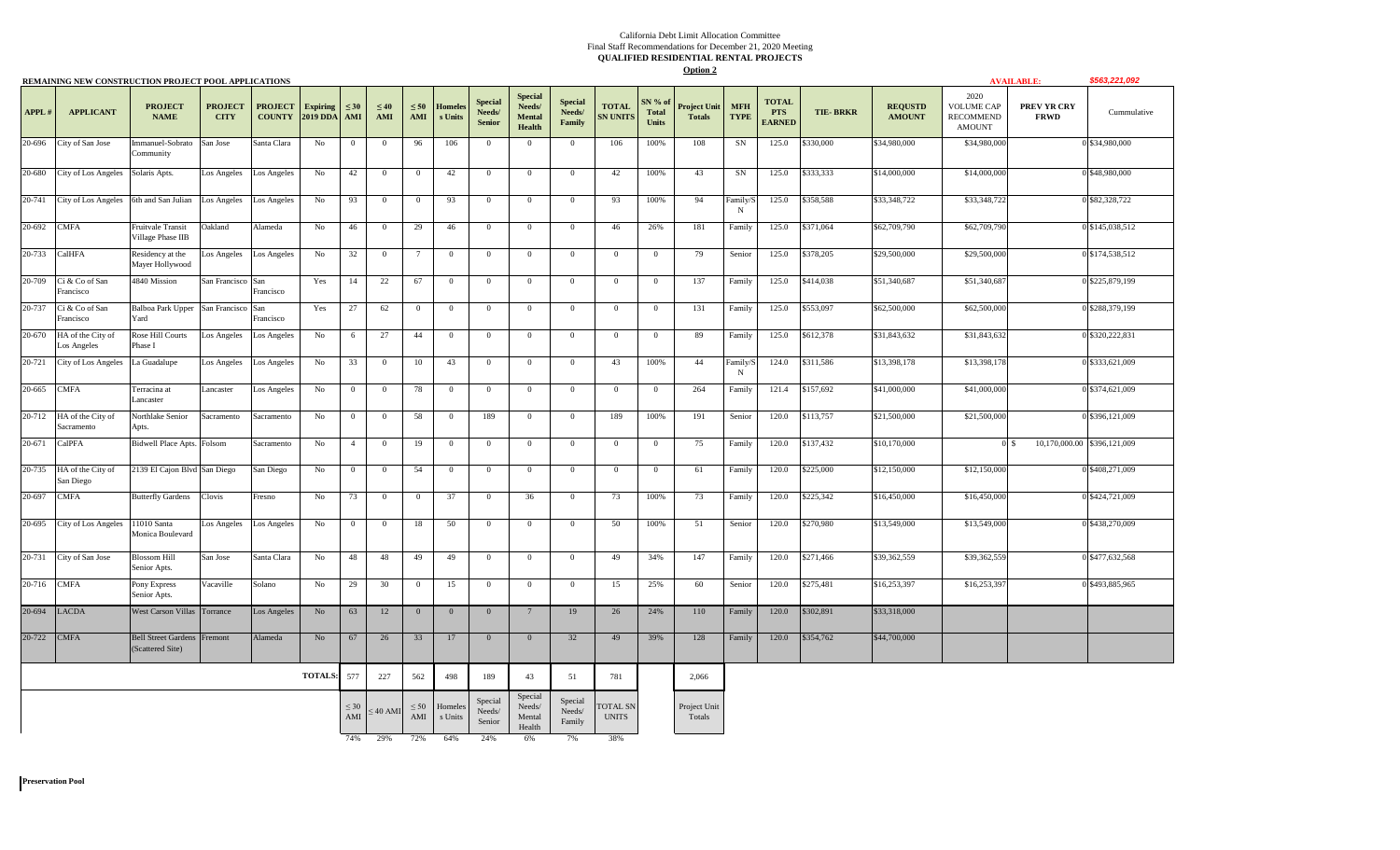## California Debt Limit Allocation Committee Final Staff Recommendations for December 21, 2020 Meeting **QUALIFIED RESIDENTIAL RENTAL PROJECTS Option 2**

|        | REMAINING NEW CONSTRUCTION PROJECT POOL APPLICATIONS |                                                |                               |                                 |                                    |                  |                  |                  |                           |                                           |                                                            |                                    |                                 |                                         |                                      |                           |                                             |                 |                                 |                                                                | <b>AVAILABLE:</b>                 | \$563,221,092               |
|--------|------------------------------------------------------|------------------------------------------------|-------------------------------|---------------------------------|------------------------------------|------------------|------------------|------------------|---------------------------|-------------------------------------------|------------------------------------------------------------|------------------------------------|---------------------------------|-----------------------------------------|--------------------------------------|---------------------------|---------------------------------------------|-----------------|---------------------------------|----------------------------------------------------------------|-----------------------------------|-----------------------------|
| APPL#  | <b>APPLICANT</b>                                     | <b>PROJECT</b><br><b>NAME</b>                  | <b>PROJECT</b><br><b>CITY</b> | <b>PROJECT</b><br><b>COUNTY</b> | <b>Expiring</b><br><b>2019 DDA</b> | $\leq 30$<br>AMI | $\leq 40$<br>AMI | $\leq 50$<br>AMI | <b>Homeles</b><br>s Units | <b>Special</b><br>Needs/<br><b>Senior</b> | <b>Special</b><br>Needs/<br><b>Mental</b><br><b>Health</b> | <b>Special</b><br>Needs/<br>Family | <b>TOTAL</b><br><b>SN UNITS</b> | SN % of<br><b>Total</b><br><b>Units</b> | <b>Project Unit</b><br><b>Totals</b> | <b>MFH</b><br><b>TYPE</b> | <b>TOTAL</b><br><b>PTS</b><br><b>EARNED</b> | <b>TIE-BRKR</b> | <b>REQUSTD</b><br><b>AMOUNT</b> | 2020<br><b>VOLUME CAP</b><br><b>RECOMMEND</b><br><b>AMOUNT</b> | <b>PREV YR CRY</b><br><b>FRWD</b> | Cummulative                 |
| 20-696 | City of San Jose                                     | mmanuel-Sobrato<br>Community                   | San Jose                      | Santa Clara                     | No                                 | $\mathbf{0}$     | $\mathbf{0}$     | 96               | 106                       | $\overline{0}$                            | $\Omega$                                                   | $\overline{0}$                     | 106                             | 100%                                    | 108                                  | SN                        | 125.0                                       | \$330,000       | \$34,980,000                    | \$34,980,000                                                   |                                   | 0 \$34,980,000              |
| 20-680 | City of Los Angeles Solaris Apts.                    |                                                | Los Angeles                   | Los Angeles                     | No                                 | 42               | $\mathbf{0}$     | $\overline{0}$   | 42                        | $\overline{0}$                            | $\overline{0}$                                             | $\overline{0}$                     | 42                              | 100%                                    | 43                                   | SN                        | 125.0                                       | \$333,333       | \$14,000,000                    | \$14,000,000                                                   |                                   | 0 \$48,980,000              |
| 20-741 | City of Los Angeles                                  | 6th and San Julian                             | Los Angeles                   | Los Angeles                     | No                                 | 93               | $\mathbf{0}$     | $\mathbf{0}$     | 93                        | $\overline{0}$                            | $\mathbf{0}$                                               | $\overline{0}$                     | 93                              | 100%                                    | 94                                   | Family/<br>N              | 125.0                                       | \$358,588       | \$33,348,722                    | \$33,348,722                                                   |                                   | 0 \$82,328,722              |
| 20-692 | <b>CMFA</b>                                          | Fruitvale Transit<br>Village Phase IIB         | Oakland                       | Alameda                         | No                                 | 46               | $\mathbf{0}$     | 29               | 46                        | $\overline{0}$                            | $\mathbf{0}$                                               | $\overline{0}$                     | 46                              | 26%                                     | 181                                  | Family                    | 125.0                                       | \$371,064       | \$62,709,790                    | \$62,709,790                                                   |                                   | 0 \$145,038,512             |
| 20-733 | CalHFA                                               | Residency at the<br>Mayer Hollywood            | Los Angeles                   | Los Angeles                     | No                                 | 32               | $\mathbf{0}$     |                  | $\Omega$                  | $\bf{0}$                                  | $\mathbf{0}$                                               | $\overline{0}$                     | $\overline{0}$                  | $\mathbf{0}$                            | 79                                   | Senior                    | 125.0                                       | \$378,205       | \$29,500,000                    | \$29,500,000                                                   |                                   | 0 \$174,538,512             |
| 20-709 | Ci & Co of San<br>Francisco                          | 4840 Mission                                   | San Francisco San             | Francisco                       | Yes                                | 14               | 22               | 67               | $\mathbf{0}$              | $\overline{0}$                            | $\mathbf{0}$                                               | $\overline{0}$                     | $\overline{0}$                  | $\mathbf{0}$                            | 137                                  | Family                    | 125.0                                       | \$414,038       | \$51,340,687                    | \$51,340,687                                                   |                                   | 0 \$225,879,199             |
| 20-737 | Ci & Co of San<br>Francisco                          | Balboa Park Upper San Francisco San<br>Yard    |                               | Francisco                       | Yes                                | 27               | 62               | $\mathbf{0}$     | $\Omega$                  | $\bf{0}$                                  | $\overline{0}$                                             | $\overline{0}$                     | $\overline{0}$                  | $\mathbf{0}$                            | 131                                  | Family                    | 125.0                                       | \$553,097       | \$62,500,000                    | \$62,500,000                                                   |                                   | 0 \$288,379,199             |
| 20-670 | HA of the City of<br>Los Angeles                     | Rose Hill Courts<br>Phase I                    | Los Angeles                   | Los Angeles                     | No                                 | -6               | 27               | 44               | $\overline{0}$            | $\overline{0}$                            | $\mathbf{0}$                                               | $\overline{0}$                     | $\overline{0}$                  | $\mathbf{0}$                            | 89                                   | Family                    | 125.0                                       | \$612,378       | \$31,843,632                    | \$31,843,632                                                   |                                   | 0 \$320,222,831             |
| 20-721 | City of Los Angeles                                  | La Guadalupe                                   | Los Angeles                   | Los Angeles                     | No                                 | 33               | $\mathbf{0}$     | 10               | 43                        | $\overline{0}$                            | $\mathbf{0}$                                               | $\overline{0}$                     | 43                              | 100%                                    | 44                                   | Family<br>$\mathbf N$     | 124.0                                       | \$311,586       | \$13,398,178                    | \$13,398,178                                                   |                                   | 0 \$333,621,009             |
| 20-665 | <b>CMFA</b>                                          | Terracina at<br>ancaster                       | Lancaster                     | Los Angeles                     | No                                 | $\bf{0}$         | $\overline{0}$   | 78               | $\Omega$                  | $\overline{0}$                            | $\overline{0}$                                             | $\overline{0}$                     | $\overline{0}$                  | $\overline{0}$                          | 264                                  | Family                    | 121.4                                       | \$157,692       | \$41,000,000                    | \$41,000,000                                                   |                                   | 0 \$374,621,009             |
| 20-712 | HA of the City of<br>Sacramento                      | Northlake Senior<br>Apts.                      | Sacramento                    | Sacramento                      | No                                 | $\overline{0}$   | $\overline{0}$   | 58               | $\Omega$                  | 189                                       | $\mathbf{0}$                                               | $\overline{0}$                     | 189                             | 100%                                    | 191                                  | Senior                    | 120.0                                       | \$113,757       | \$21,500,000                    | \$21,500,000                                                   |                                   | 0 \$396,121,009             |
| 20-671 | CalPFA                                               | <b>Bidwell Place Apts. Folsom</b>              |                               | Sacramento                      | No                                 | $\overline{4}$   | $\mathbf{0}$     | 19               | $\theta$                  | $\bf{0}$                                  | $\overline{0}$                                             | $\overline{0}$                     | $\overline{0}$                  | $\mathbf{0}$                            | 75                                   | Family                    | 120.0                                       | \$137,432       | \$10,170,000                    |                                                                | $01$ s                            | 10,170,000.00 \$396,121,009 |
| 20-735 | HA of the City of<br>San Diego                       | 2139 El Cajon Blvd San Diego                   |                               | San Diego                       | No                                 | $\mathbf{0}$     | $\Omega$         | 54               | $\Omega$                  | $\overline{0}$                            | $\overline{0}$                                             | $\Omega$                           | $\overline{0}$                  | $\bf{0}$                                | 61                                   | Family                    | 120.0                                       | \$225,000       | \$12,150,000                    | \$12,150,000                                                   |                                   | 0 \$408,271,009             |
| 20-697 | <b>CMFA</b>                                          | <b>Butterfly Gardens</b>                       | Clovis                        | Fresno                          | No                                 | 73               | $\bf{0}$         | $\overline{0}$   | 37                        | $\overline{0}$                            | 36                                                         | $\overline{0}$                     | 73                              | 100%                                    | 73                                   | Family                    | 120.0                                       | \$225,342       | \$16,450,000                    | \$16,450,000                                                   |                                   | 0 \$424,721,009             |
| 20-695 | City of Los Angeles                                  | 11010 Santa<br>Monica Boulevard                | Los Angeles                   | Los Angeles                     | No                                 | $\bf{0}$         | $\bf{0}$         | 18               | 50                        | $\overline{0}$                            | $\overline{0}$                                             | $\overline{0}$                     | 50                              | 100%                                    | 51                                   | Senior                    | 120.0                                       | \$270,980       | \$13,549,000                    | \$13,549,000                                                   |                                   | 0 \$438,270,009             |
| 20-731 | City of San Jose                                     | Blossom Hill<br>Senior Apts.                   | San Jose                      | Santa Clara                     | No                                 | 48               | 48               | 49               | 49                        | $\bf{0}$                                  | $\overline{0}$                                             | $\overline{0}$                     | 49                              | 34%                                     | 147                                  | Family                    | 120.0                                       | \$271,466       | \$39,362,559                    | \$39,362,559                                                   |                                   | 0 \$477,632,568             |
| 20-716 | <b>CMFA</b>                                          | Pony Express<br>Senior Apts.                   | Vacaville                     | Solano                          | No                                 | 29               | 30               | $\mathbf{0}$     | 15                        | $\bf{0}$                                  | $\overline{0}$                                             | $\overline{0}$                     | 15                              | 25%                                     | 60                                   | Senior                    | 120.0                                       | \$275,481       | \$16,253,397                    | \$16,253,397                                                   |                                   | 0 \$493,885,965             |
| 20-694 | <b>LACDA</b>                                         | <b>West Carson Villas Torrance</b>             |                               | <b>Los Angeles</b>              | No                                 | 63               | 12               | $\mathbf{0}$     | $\Omega$                  | $\overline{0}$                            | 7                                                          | 19                                 | 26                              | 24%                                     | 110                                  | Family                    | 120.0                                       | \$302,891       | \$33,318,000                    |                                                                |                                   |                             |
| 20-722 | <b>CMFA</b>                                          | <b>Bell Street Gardens</b><br>(Scattered Site) | Fremont                       | Alameda                         | No                                 | 67               | 26               | 33               | 17                        | $\overline{0}$                            | $\mathbf{0}$                                               | 32                                 | 49                              | 39%                                     | 128                                  | Family                    | 120.0                                       | \$354,762       | \$44,700,000                    |                                                                |                                   |                             |
|        |                                                      |                                                |                               |                                 | TOTALS:                            | 577              | 227              | 562              | 498                       | 189                                       | 43                                                         | 51                                 | 781                             |                                         | 2,066                                |                           |                                             |                 |                                 |                                                                |                                   |                             |
|        |                                                      |                                                |                               |                                 |                                    | $\leq 30$<br>AMI | 40 AMI           | $\leq 50$<br>AMI | <b>Homeles</b><br>s Units | Special<br>Needs/<br>Senior               | Special<br>Needs/<br>Mental<br>Health                      | Special<br>Needs/<br>Family        | <b>OTAL SN</b><br><b>UNITS</b>  |                                         | Project Unit<br>Totals               |                           |                                             |                 |                                 |                                                                |                                   |                             |
|        |                                                      |                                                |                               |                                 |                                    | 74%              | 29%              | 72%              | 64%                       | 24%                                       | 6%                                                         | 7%                                 | 38%                             |                                         |                                      |                           |                                             |                 |                                 |                                                                |                                   |                             |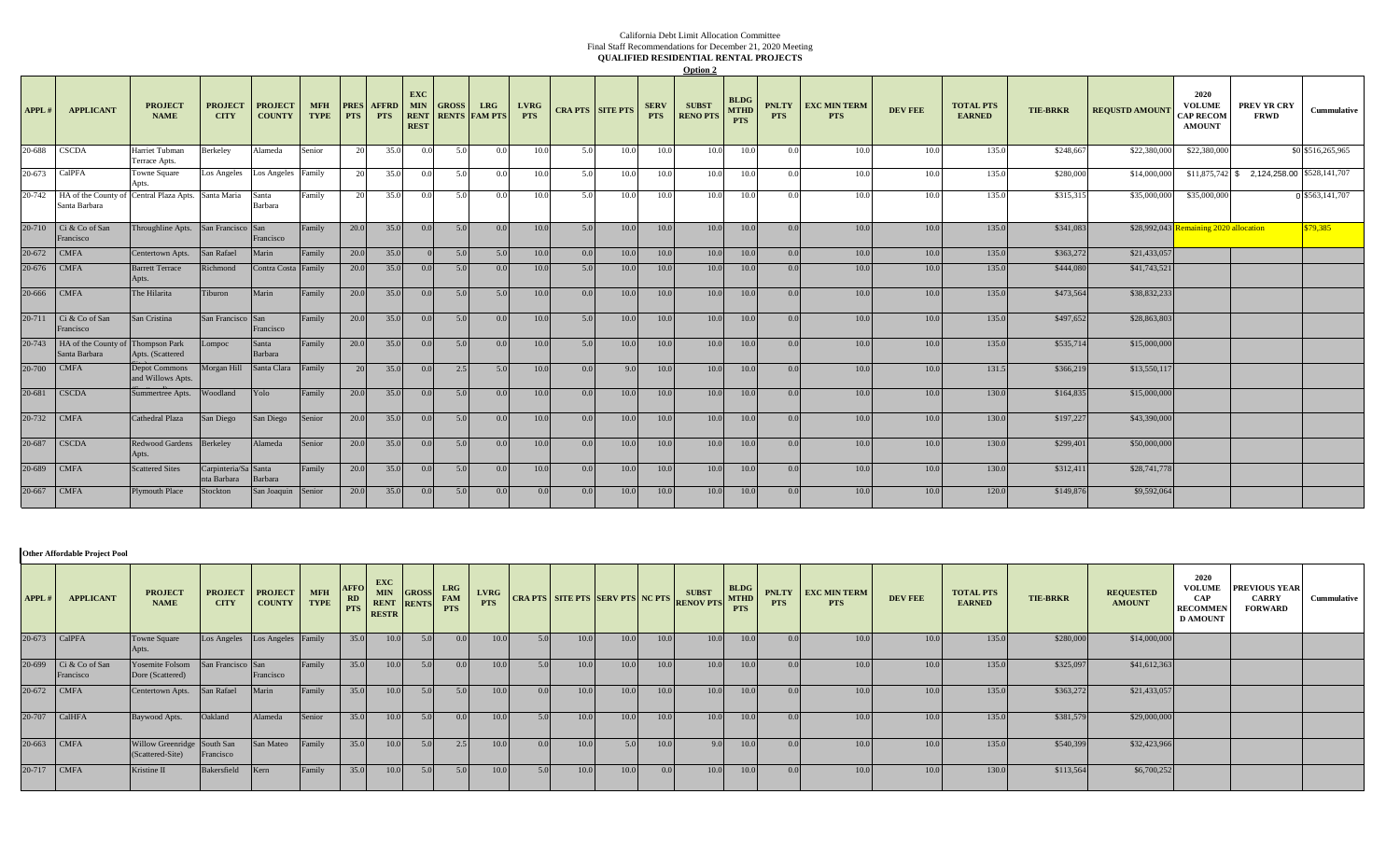## California Debt Limit Allocation Committee Final Staff Recommendations for December 21, 2020 Meeting **QUALIFIED RESIDENTIAL RENTAL PROJECTS Option 2**

| APPL#         | <b>APPLICANT</b>                                                            | <b>PROJECT</b><br><b>NAME</b>             | <b>PROJECT</b><br><b>CITY</b>       | <b>PROJECT</b><br><b>COUNTY</b> | <b>MFH</b><br>TYPE | <b>PRES</b><br><b>PTS</b> | <b>AFFRD</b><br><b>PTS</b> | <b>EXC</b><br><b>MIN</b><br><b>REST</b> | <b>GROSS</b> | LRG<br><b>RENT RENTS FAM PTS</b> | <b>LVRG</b><br><b>PTS</b> | <b>CRAPTS SITEPTS</b> |      | <b>SERV</b><br><b>PTS</b> | <b>SUBST</b><br><b>RENO PTS</b> | <b>BLDG</b><br><b>MTHD</b><br><b>PTS</b> | PNLTY<br><b>PTS</b> | <b>EXC MIN TERM</b><br><b>PTS</b> | <b>DEV FEE</b> | <b>TOTAL PTS</b><br><b>EARNED</b> | <b>TIE-BRKR</b> | <b>REQUSTD AMOUNT</b> | 2020<br><b>VOLUME</b><br><b>CAP RECOM</b><br><b>AMOUNT</b> | <b>PREV YR CRY</b><br><b>FRWD</b>         | <b>Cummulative</b> |
|---------------|-----------------------------------------------------------------------------|-------------------------------------------|-------------------------------------|---------------------------------|--------------------|---------------------------|----------------------------|-----------------------------------------|--------------|----------------------------------|---------------------------|-----------------------|------|---------------------------|---------------------------------|------------------------------------------|---------------------|-----------------------------------|----------------|-----------------------------------|-----------------|-----------------------|------------------------------------------------------------|-------------------------------------------|--------------------|
| 20-688        | <b>CSCDA</b>                                                                | <b>Harriet Tubman</b><br>Terrace Apts.    | Berkeley                            | Alameda                         | Senior             | 201                       | 35.0                       | 0.0                                     | 50           | 0.0                              | 10.0                      | 5.0                   | 10.0 | 10.0                      | 10.0                            | 10.0                                     | 0 <sub>0</sub>      | 10.0                              | 10.0           | 135.0                             | \$248,667       | \$22,380,000          | \$22,380,000                                               |                                           | \$0 \$516,265,965  |
| 20-673 CalPFA |                                                                             | Towne Square                              | Los Angeles                         | Los Angeles Family              |                    | 20 <sup>1</sup>           | 35.0                       | 0.0                                     | 50           | 0.0                              | 10.0                      | 5.0                   | 10.0 | 10.0                      | 10.0                            | 10.0                                     | 0.0                 | 10.0                              | 10.0           | 135.0                             | \$280,000       | \$14,000,000          |                                                            | \$11,875,742 \$2,124,258.00 \$528,141,707 |                    |
|               | 20-742 HA of the County of Central Plaza Apts. Santa Maria<br>Santa Barbara |                                           |                                     | Santa<br>Barbara                | Family             | 20 <sup>1</sup>           | 35.0                       | 0.0                                     | 5.0          | 0.0                              | 10.0                      | 5.0                   | 10.0 | 10.0                      | 10.0                            | 10.0                                     | 0.0                 | 10.0                              | 10.0           | 135.0                             | \$315,315       | \$35,000,000          | \$35,000,000                                               |                                           | 0 \$563,141,707    |
|               | 20-710 Ci & Co of San<br>Francisco                                          | Throughline Apts. San Francisco San       |                                     | Francisco                       | Family             | 20.0                      | 35.0                       | 0.0                                     | 5.0          | 0.0                              | 10.0                      | 5.0                   | 10.0 | 10.0                      | 10.0                            | 10.0                                     | 0.0                 | 10.0                              | 10.0           | 135.0                             | \$341,083       | \$28,992,043          | aining 2020 allocation                                     |                                           | \$79,385           |
| 20-672 CMFA   |                                                                             | Centertown Apts.                          | San Rafael                          | Marin                           | Family             | 20.0                      | 35.0                       |                                         | 5.0          | 5.0                              | 10.0                      | 0.0                   | 10.0 | 10.0                      | 10.0                            | 10.0                                     | 0.0                 | 10.0                              | 10.0           | 135.0                             | \$363,272       | \$21,433,057          |                                                            |                                           |                    |
| 20-676 CMFA   |                                                                             | <b>Barrett Terrace</b><br>Apts.           | Richmond                            | Contra Costa Family             |                    | 20.0                      | 35.0                       | 0.0                                     | 5.0          | 0.0                              | 10.0                      | 5.0                   | 10.0 | 10.0                      | 10.0                            | 10.0                                     | 0 <sup>0</sup>      | 10.0                              | 10.0           | 135.0                             | \$444,080       | \$41,743,521          |                                                            |                                           |                    |
| 20-666 CMFA   |                                                                             | The Hilarita                              | Tiburon                             | Marin                           | Family             | 20.0                      | 35.0                       | 0.0                                     | 5.0          | 5.0                              | 10.0                      | 0.0                   | 10.0 | 10.0                      | 10.0                            | 10.0                                     | 0.0                 | 10.0                              | 10.0           | 135.0                             | \$473,564       | \$38,832,233          |                                                            |                                           |                    |
|               | 20-711 Ci & Co of San<br>Francisco                                          | San Cristina                              | San Francisco San                   | Francisco                       | Family             | 20.0                      | 35.0                       | 0.0                                     | 5.0          | 0.0                              | 10.0                      | 5.0                   | 10.0 | 10.0                      | 10.0                            | 10.0                                     | 0.0                 | 10.0                              | 10.0           | 135.0                             | \$497,652       | \$28,863,803          |                                                            |                                           |                    |
|               | 20-743 HA of the County of Thompson Park<br>Santa Barbara                   | Apts. (Scattered                          | Lompoc                              | Santa<br>Barbara                | Family             | 20.0                      | 35.0                       | 0.0                                     | 5.0          | 0.0                              | 10.0                      | 5.0                   | 10.0 | 10.0                      | 10.0                            | 10.0                                     | 0 <sub>0</sub>      | 10.0                              | 10.0           | 135.0                             | \$535,714       | \$15,000,000          |                                                            |                                           |                    |
| 20-700 CMFA   |                                                                             | <b>Depot Commons</b><br>and Willows Apts. | Morgan Hill                         | Santa Clara                     | Family             | 20                        | 35.0                       | 0.0                                     | 2.5          | 5.0                              | 10.0                      | 0.0                   | 90   | 10.0                      | 10.0                            | 10.0                                     | 0.0 <sup>1</sup>    | 10.0                              | 10.0           | 131.5                             | \$366,219       | \$13,550,117          |                                                            |                                           |                    |
| 20-681 CSCDA  |                                                                             | Summertree Apts. Woodland                 |                                     | Yolo                            | Family             | 20.0                      | 35.0                       | 0.0                                     | 5.0          | 0.0                              | 10.0                      | 0.0                   | 10.0 | 10.0                      | 10.0                            | 10.0                                     | 0.0                 | 10.0                              | 10.0           | 130.0                             | \$164,835       | \$15,000,000          |                                                            |                                           |                    |
| 20-732 CMFA   |                                                                             | Cathedral Plaza                           | San Diego                           | San Diego                       | Senior             | 20.0                      | 35.0                       | 0.0                                     | 5.0          | 0.0                              | 10.0                      | 0.0                   | 10.0 | 10.0                      | 10.0                            | 10.0                                     | 0.0                 | 10.0                              | 10.0           | 130.0                             | \$197,227       | \$43,390,000          |                                                            |                                           |                    |
| 20-687        | <b>CSCDA</b>                                                                | Redwood Gardens Berkeley<br>Apts.         |                                     | Alameda                         | Senior             | 20.0                      | 35.0                       | 0.0                                     | 5.0          | 0.0                              | 10.0                      | 0.0                   | 10.0 | 10.0                      | 10.0                            | 10.0                                     | 0.0                 | 10.0                              | 10.0           | 130.0                             | \$299,401       | \$50,000,000          |                                                            |                                           |                    |
| 20-689 CMFA   |                                                                             | <b>Scattered Sites</b>                    | Carpinteria/Sa Santa<br>nta Barbara | Barbara                         | Family             | 20.0                      | 35.0                       | 0.0                                     | 5.0          | 0.0                              | 10.0                      | 0.0                   | 10.0 | 10.0                      | 10.0                            | 10.0                                     | 0.0                 | 10.0                              | 10.0           | 130.0                             | \$312,411       | \$28,741,778          |                                                            |                                           |                    |
| 20-667 CMFA   |                                                                             | Plymouth Place                            | Stockton                            | San Joaquin                     | Senior             | 20.0                      | 35.0                       | 0.0                                     | 5.0          | 0.0                              | 0.0 <sub>1</sub>          | 0.0                   | 10.0 | 10.0                      | 10.0                            | 10.0                                     | 0.0                 | 10.0                              | 10.0           | 120.0                             | \$149,876       | \$9,592,064           |                                                            |                                           |                    |

## **Other Affordable Project Pool**

| APPL#         | <b>APPLICANT</b>                   | <b>PROJECT</b><br><b>NAME</b>                   | <b>PROJECT</b><br><b>CITY</b> | <b>PROJECT</b><br><b>COUNTY</b> |        |      | EXC  |     |                  |      |                |      |                  |      |      |      |      | <b>DEV FEE</b> | <b>TOTAL PTS</b><br><b>EARNED</b> | <b>TIE-BRKR</b> | <b>REQUESTED</b><br><b>AMOUNT</b> | 2020<br>CAP<br><b>RECOMMEN</b><br><b>D AMOUNT</b> | <b>VOLUME PREVIOUS YEAR</b><br><b>CARRY</b><br><b>FORWARD</b> | <b>Cummulative</b> |
|---------------|------------------------------------|-------------------------------------------------|-------------------------------|---------------------------------|--------|------|------|-----|------------------|------|----------------|------|------------------|------|------|------|------|----------------|-----------------------------------|-----------------|-----------------------------------|---------------------------------------------------|---------------------------------------------------------------|--------------------|
| 20-673 CalPFA |                                    | Towne Square<br>Apts.                           | Los Angeles                   | Los Angeles                     | Family | 35.0 | 10.0 |     | 0.0              | 10.0 |                | 10.0 | 10.0             |      | 10.0 | 10.0 | 10.0 | 10.0           | 135.0                             | \$280,000       | \$14,000,000                      |                                                   |                                                               |                    |
|               | 20-699 Ci & Co of San<br>Francisco | Yosemite Folsom<br>Dore (Scattered)             | San Francisco San             | Francisco                       | Family | 35.0 | 10.0 | 5.0 | 0.0              | 10.0 |                | 10.0 | 10.0             | 10.0 | 10.0 | 10.0 | 10.0 | 10.0           | 135.0                             | \$325,097       | \$41,612,363                      |                                                   |                                                               |                    |
| 20-672 CMFA   |                                    | Centertown Apts. San Rafael                     |                               | Marin                           | Family | 35.0 | 10.0 |     | 5.0              | 10.0 | 0 <sub>0</sub> | 10.0 | 10.0             |      | 10.0 | 10.0 | 10.0 | 10.0           | 135.0                             | \$363,272       | \$21,433,057                      |                                                   |                                                               |                    |
| 20-707 CalHFA |                                    | Baywood Apts.                                   | Oakland                       | Alameda                         | Senior | 35.0 | 10.0 |     | 0.0 <sub>l</sub> | 10.0 |                | 10.0 | 10.0             |      | 10.0 | 10.0 | 10.0 | 10.0           | 135.0                             | \$381,579       | \$29,000,000                      |                                                   |                                                               |                    |
| 20-663 CMFA   |                                    | Willow Greenridge South San<br>(Scattered-Site) | Francisco                     | San Mateo                       | Family | 35.0 | 10.0 |     | 2.5              | 10.0 | 0 <sub>0</sub> | 10.0 | 5.0 <sub>1</sub> |      | 9.0  | 10.0 | 10.0 | 10.0           | 135.0                             | \$540,399       | \$32,423,966                      |                                                   |                                                               |                    |
| 20-717 CMFA   |                                    | Kristine II                                     | Bakersfield                   | Kern                            | Family | 35.0 | 10.0 |     | 5.0              | 10.0 |                | 10.0 | 10.0             |      | 10.0 | 10.0 | 10.0 | 10.0           | 130.0                             | \$113,564       | \$6,700,252                       |                                                   |                                                               |                    |